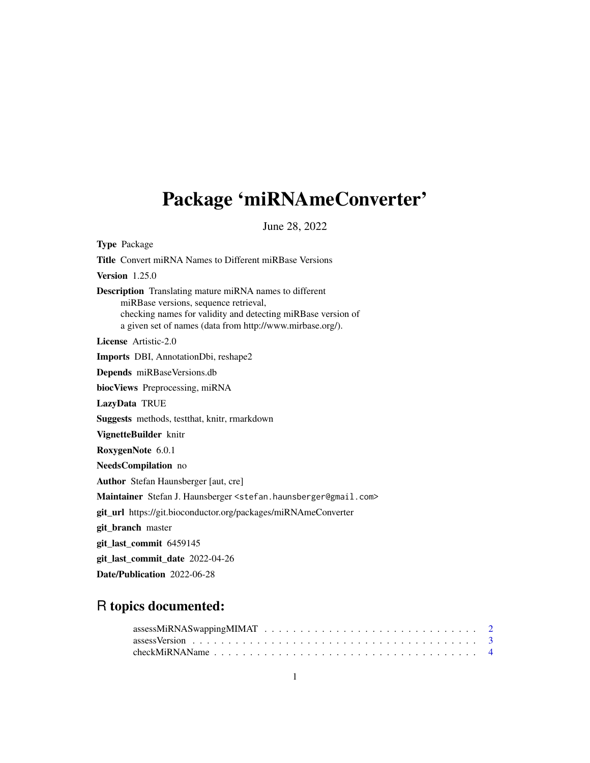# <span id="page-0-0"></span>Package 'miRNAmeConverter'

June 28, 2022

| <b>Type Package</b>                                                                                                                                                                                                                  |
|--------------------------------------------------------------------------------------------------------------------------------------------------------------------------------------------------------------------------------------|
| <b>Title</b> Convert miRNA Names to Different miRBase Versions                                                                                                                                                                       |
| Version $1.25.0$                                                                                                                                                                                                                     |
| <b>Description</b> Translating mature miRNA names to different<br>miRBase versions, sequence retrieval,<br>checking names for validity and detecting miRBase version of<br>a given set of names (data from http://www.mirbase.org/). |
| License Artistic-2.0                                                                                                                                                                                                                 |
| <b>Imports</b> DBI, AnnotationDbi, reshape2                                                                                                                                                                                          |
| Depends miRBaseVersions.db                                                                                                                                                                                                           |
| biocViews Preprocessing, miRNA                                                                                                                                                                                                       |
| LazyData TRUE                                                                                                                                                                                                                        |
| <b>Suggests</b> methods, test that, knitr, rmarkdown                                                                                                                                                                                 |
| VignetteBuilder knitr                                                                                                                                                                                                                |
| RoxygenNote 6.0.1                                                                                                                                                                                                                    |
| NeedsCompilation no                                                                                                                                                                                                                  |
| <b>Author</b> Stefan Haunsberger [aut, cre]                                                                                                                                                                                          |
| Maintainer Stefan J. Haunsberger <stefan.haunsberger@gmail.com></stefan.haunsberger@gmail.com>                                                                                                                                       |
| git_url https://git.bioconductor.org/packages/miRNAmeConverter                                                                                                                                                                       |
| git_branch master                                                                                                                                                                                                                    |
| git_last_commit 6459145                                                                                                                                                                                                              |
| git_last_commit_date 2022-04-26                                                                                                                                                                                                      |
| Date/Publication 2022-06-28                                                                                                                                                                                                          |

### R topics documented: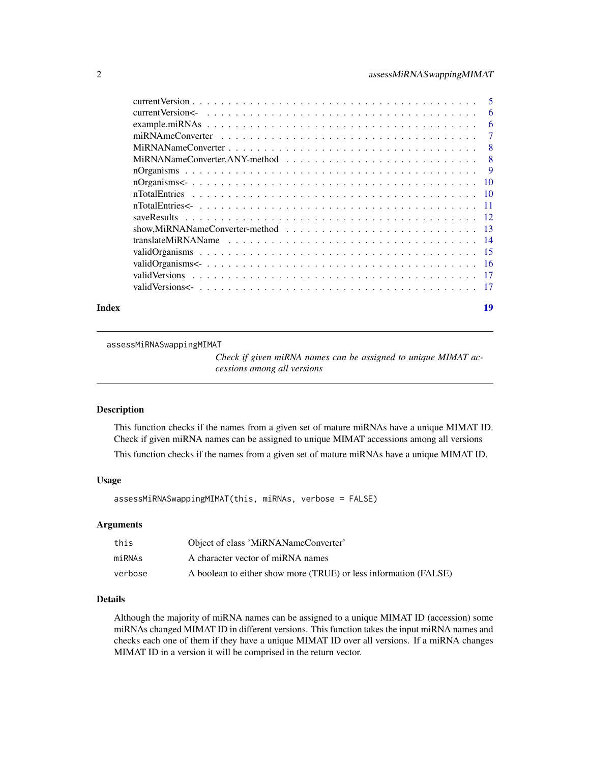#### <span id="page-1-0"></span>2 assessMiRNASwappingMIMAT

|       | show, MiRNANameConverter-method $\ldots \ldots \ldots \ldots \ldots \ldots \ldots \ldots \ldots \ldots$ |    |
|-------|---------------------------------------------------------------------------------------------------------|----|
|       |                                                                                                         |    |
|       |                                                                                                         |    |
|       |                                                                                                         |    |
|       |                                                                                                         |    |
|       |                                                                                                         |    |
| Index |                                                                                                         | 19 |

<span id="page-1-1"></span>assessMiRNASwappingMIMAT

*Check if given miRNA names can be assigned to unique MIMAT accessions among all versions*

#### Description

This function checks if the names from a given set of mature miRNAs have a unique MIMAT ID. Check if given miRNA names can be assigned to unique MIMAT accessions among all versions

This function checks if the names from a given set of mature miRNAs have a unique MIMAT ID.

#### Usage

assessMiRNASwappingMIMAT(this, miRNAs, verbose = FALSE)

#### Arguments

| this    | Object of class 'MiRNANameConverter'                             |
|---------|------------------------------------------------------------------|
| miRNAs  | A character vector of miRNA names                                |
| verbose | A boolean to either show more (TRUE) or less information (FALSE) |

#### Details

Although the majority of miRNA names can be assigned to a unique MIMAT ID (accession) some miRNAs changed MIMAT ID in different versions. This function takes the input miRNA names and checks each one of them if they have a unique MIMAT ID over all versions. If a miRNA changes MIMAT ID in a version it will be comprised in the return vector.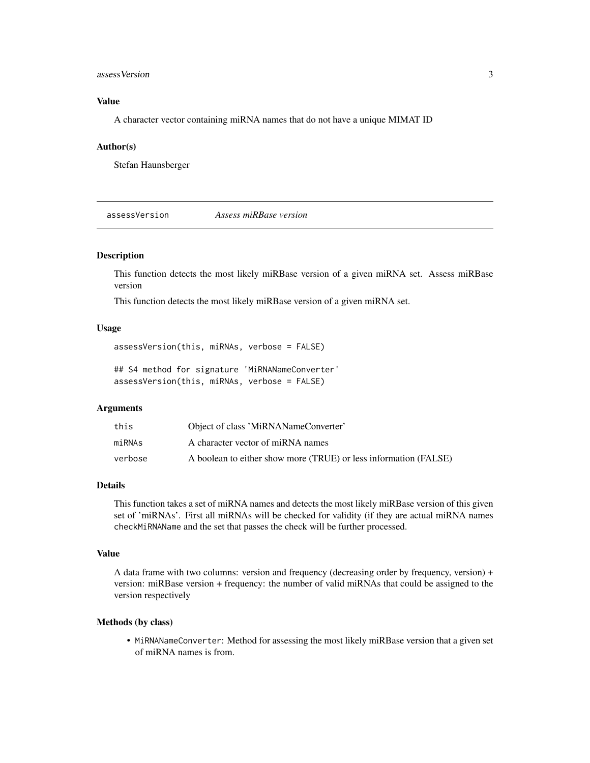#### <span id="page-2-0"></span>assessVersion 3

#### Value

A character vector containing miRNA names that do not have a unique MIMAT ID

#### Author(s)

Stefan Haunsberger

<span id="page-2-1"></span>assessVersion *Assess miRBase version*

#### Description

This function detects the most likely miRBase version of a given miRNA set. Assess miRBase version

This function detects the most likely miRBase version of a given miRNA set.

#### Usage

assessVersion(this, miRNAs, verbose = FALSE)

## S4 method for signature 'MiRNANameConverter' assessVersion(this, miRNAs, verbose = FALSE)

#### Arguments

| this    | Object of class 'MiRNANameConverter'                             |
|---------|------------------------------------------------------------------|
| miRNAs  | A character vector of miRNA names                                |
| verbose | A boolean to either show more (TRUE) or less information (FALSE) |

#### Details

This function takes a set of miRNA names and detects the most likely miRBase version of this given set of 'miRNAs'. First all miRNAs will be checked for validity (if they are actual miRNA names checkMiRNAName and the set that passes the check will be further processed.

#### Value

A data frame with two columns: version and frequency (decreasing order by frequency, version) + version: miRBase version + frequency: the number of valid miRNAs that could be assigned to the version respectively

#### Methods (by class)

• MiRNANameConverter: Method for assessing the most likely miRBase version that a given set of miRNA names is from.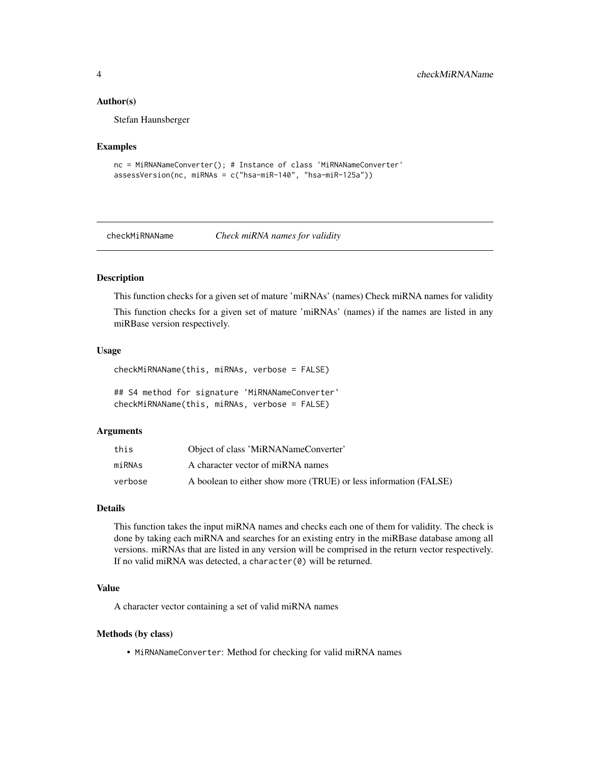#### <span id="page-3-0"></span>Author(s)

Stefan Haunsberger

#### Examples

```
nc = MiRNANameConverter(); # Instance of class 'MiRNANameConverter'
assessVersion(nc, miRNAs = c("hsa-miR-140", "hsa-miR-125a"))
```
<span id="page-3-1"></span>checkMiRNAName *Check miRNA names for validity*

#### Description

This function checks for a given set of mature 'miRNAs' (names) Check miRNA names for validity This function checks for a given set of mature 'miRNAs' (names) if the names are listed in any miRBase version respectively.

#### Usage

checkMiRNAName(this, miRNAs, verbose = FALSE)

## S4 method for signature 'MiRNANameConverter' checkMiRNAName(this, miRNAs, verbose = FALSE)

#### Arguments

| this    | Object of class 'MiRNANameConverter'                             |
|---------|------------------------------------------------------------------|
| miRNAs  | A character vector of miRNA names                                |
| verbose | A boolean to either show more (TRUE) or less information (FALSE) |

#### Details

This function takes the input miRNA names and checks each one of them for validity. The check is done by taking each miRNA and searches for an existing entry in the miRBase database among all versions. miRNAs that are listed in any version will be comprised in the return vector respectively. If no valid miRNA was detected, a character(0) will be returned.

#### Value

A character vector containing a set of valid miRNA names

#### Methods (by class)

• MiRNANameConverter: Method for checking for valid miRNA names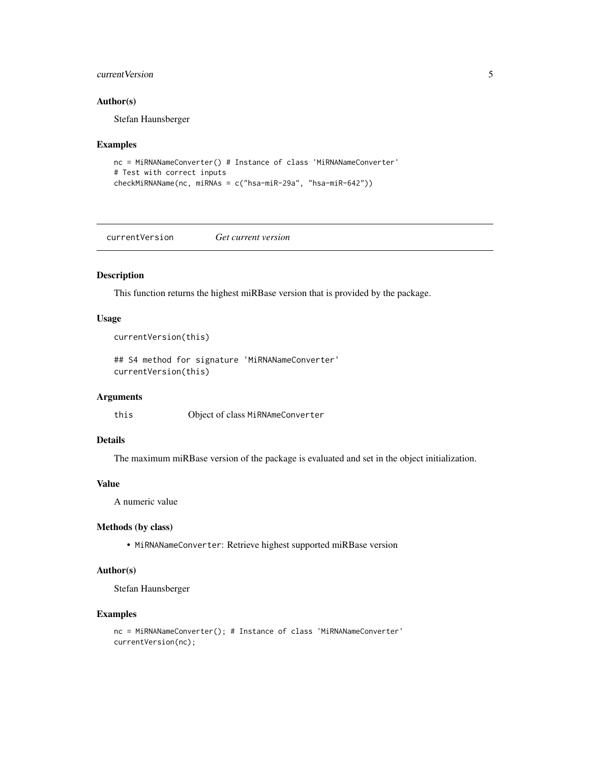#### <span id="page-4-0"></span>current Version 5

#### Author(s)

Stefan Haunsberger

#### Examples

```
nc = MiRNANameConverter() # Instance of class 'MiRNANameConverter'
# Test with correct inputs
checkMiRNAName(nc, miRNAs = c("hsa-miR-29a", "hsa-miR-642"))
```
currentVersion *Get current version*

#### Description

This function returns the highest miRBase version that is provided by the package.

#### Usage

```
currentVersion(this)
```
## S4 method for signature 'MiRNANameConverter' currentVersion(this)

#### Arguments

this Object of class MiRNAmeConverter

#### Details

The maximum miRBase version of the package is evaluated and set in the object initialization.

#### Value

A numeric value

#### Methods (by class)

• MiRNANameConverter: Retrieve highest supported miRBase version

#### Author(s)

Stefan Haunsberger

#### Examples

```
nc = MiRNANameConverter(); # Instance of class 'MiRNANameConverter'
currentVersion(nc);
```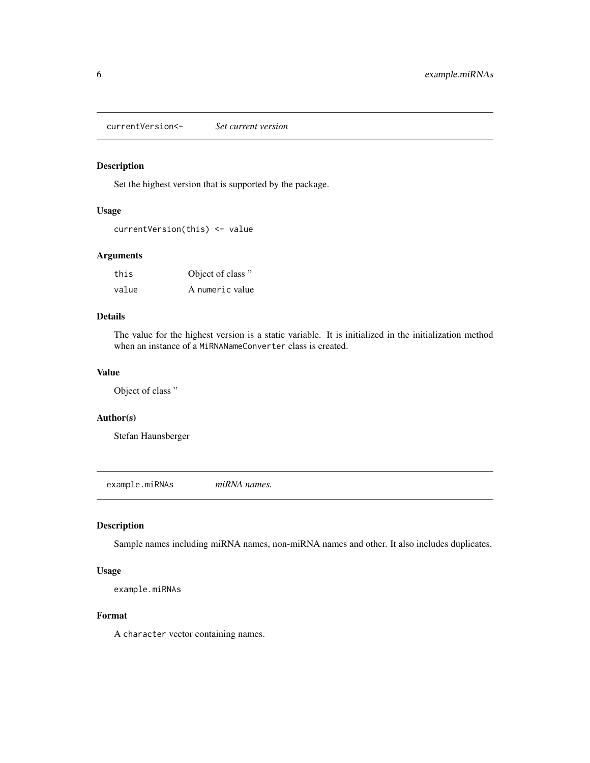<span id="page-5-0"></span>currentVersion<- *Set current version*

#### Description

Set the highest version that is supported by the package.

#### Usage

```
currentVersion(this) <- value
```
#### Arguments

| this  | Object of class" |
|-------|------------------|
| value | A numeric value  |

#### Details

The value for the highest version is a static variable. It is initialized in the initialization method when an instance of a MiRNANameConverter class is created.

#### Value

Object of class "

#### Author(s)

Stefan Haunsberger

example.miRNAs *miRNA names.*

#### Description

Sample names including miRNA names, non-miRNA names and other. It also includes duplicates.

#### Usage

example.miRNAs

#### Format

A character vector containing names.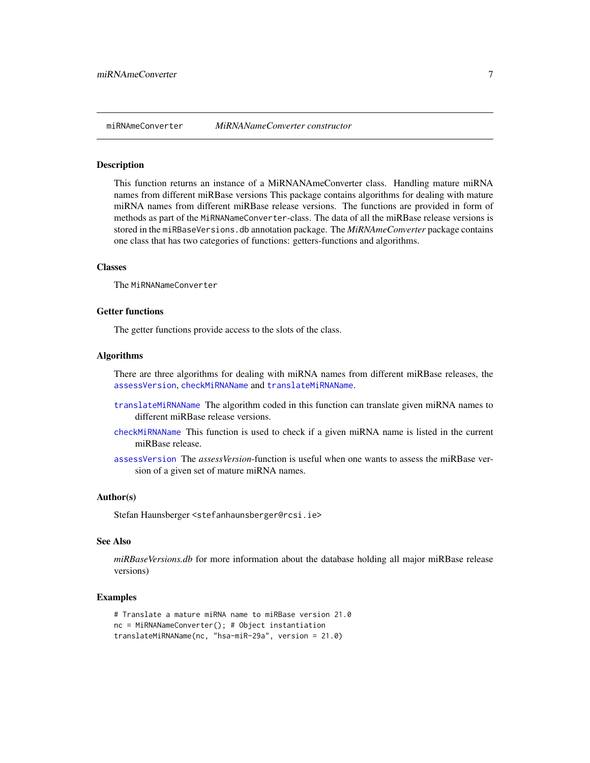<span id="page-6-0"></span>

#### **Description**

This function returns an instance of a MiRNANAmeConverter class. Handling mature miRNA names from different miRBase versions This package contains algorithms for dealing with mature miRNA names from different miRBase release versions. The functions are provided in form of methods as part of the MiRNANameConverter-class. The data of all the miRBase release versions is stored in the miRBaseVersions.db annotation package. The *MiRNAmeConverter* package contains one class that has two categories of functions: getters-functions and algorithms.

#### Classes

The MiRNANameConverter

#### Getter functions

The getter functions provide access to the slots of the class.

#### Algorithms

There are three algorithms for dealing with miRNA names from different miRBase releases, the [assessVersion](#page-2-1), [checkMiRNAName](#page-3-1) and [translateMiRNAName](#page-13-1).

- [translateMiRNAName](#page-13-1) The algorithm coded in this function can translate given miRNA names to different miRBase release versions.
- [checkMiRNAName](#page-3-1) This function is used to check if a given miRNA name is listed in the current miRBase release.
- [assessVersion](#page-2-1) The *assessVersion*-function is useful when one wants to assess the miRBase version of a given set of mature miRNA names.

#### Author(s)

Stefan Haunsberger <stefanhaunsberger@rcsi.ie>

#### See Also

*miRBaseVersions.db* for more information about the database holding all major miRBase release versions)

#### Examples

```
# Translate a mature miRNA name to miRBase version 21.0
nc = MiRNANameConverter(); # Object instantiation
translateMiRNAName(nc, "hsa-miR-29a", version = 21.0)
```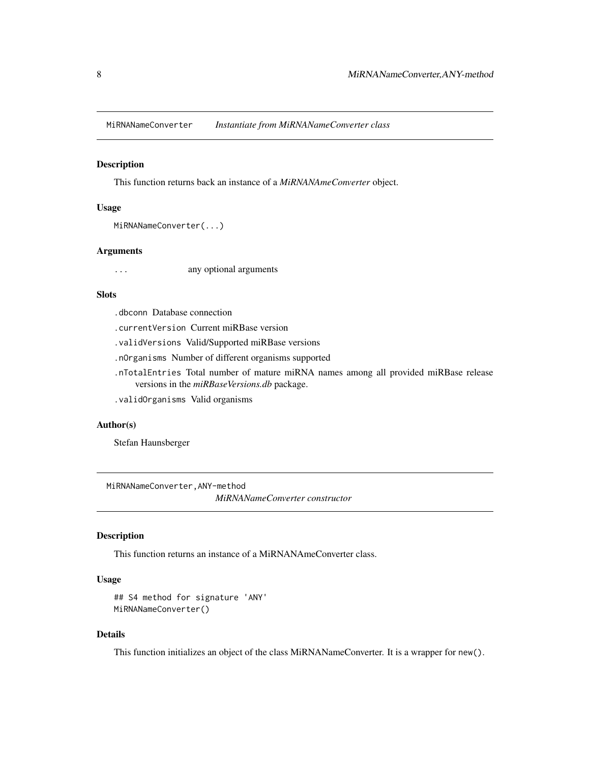<span id="page-7-0"></span>MiRNANameConverter *Instantiate from MiRNANameConverter class*

#### Description

This function returns back an instance of a *MiRNANAmeConverter* object.

#### Usage

```
MiRNANameConverter(...)
```
#### Arguments

... any optional arguments

#### **Slots**

- .dbconn Database connection
- .currentVersion Current miRBase version
- .validVersions Valid/Supported miRBase versions
- .nOrganisms Number of different organisms supported
- .nTotalEntries Total number of mature miRNA names among all provided miRBase release versions in the *miRBaseVersions.db* package.
- .validOrganisms Valid organisms

#### Author(s)

Stefan Haunsberger

MiRNANameConverter,ANY-method

*MiRNANameConverter constructor*

#### Description

This function returns an instance of a MiRNANAmeConverter class.

#### Usage

```
## S4 method for signature 'ANY'
MiRNANameConverter()
```
#### Details

This function initializes an object of the class MiRNANameConverter. It is a wrapper for new().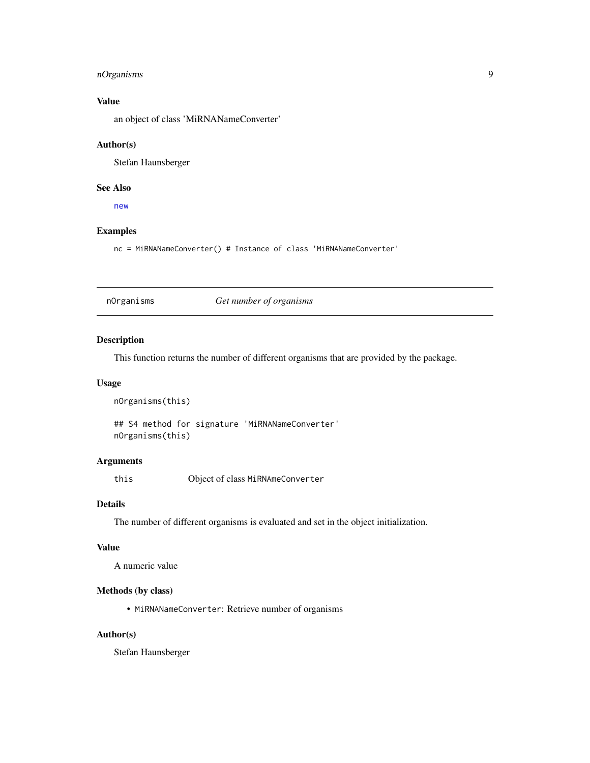#### <span id="page-8-0"></span>nOrganisms 9

#### Value

an object of class 'MiRNANameConverter'

#### Author(s)

Stefan Haunsberger

#### See Also

[new](#page-0-0)

#### Examples

nc = MiRNANameConverter() # Instance of class 'MiRNANameConverter'

nOrganisms *Get number of organisms*

#### Description

This function returns the number of different organisms that are provided by the package.

#### Usage

nOrganisms(this)

## S4 method for signature 'MiRNANameConverter' nOrganisms(this)

#### Arguments

this Object of class MiRNAmeConverter

#### Details

The number of different organisms is evaluated and set in the object initialization.

#### Value

A numeric value

#### Methods (by class)

• MiRNANameConverter: Retrieve number of organisms

#### Author(s)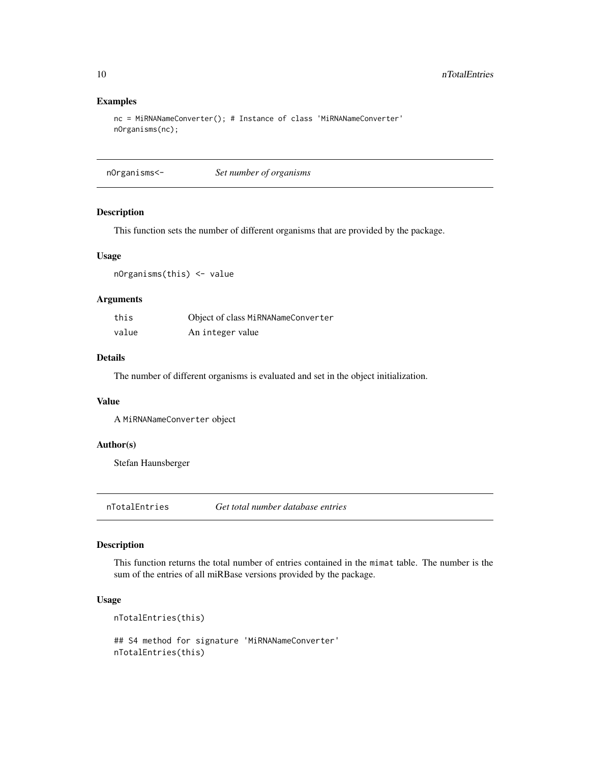#### Examples

```
nc = MiRNANameConverter(); # Instance of class 'MiRNANameConverter'
nOrganisms(nc);
```
nOrganisms<- *Set number of organisms*

#### Description

This function sets the number of different organisms that are provided by the package.

#### Usage

nOrganisms(this) <- value

#### Arguments

| this  | Object of class MiRNANameConverter |
|-------|------------------------------------|
| value | An integer value                   |

#### Details

The number of different organisms is evaluated and set in the object initialization.

#### Value

A MiRNANameConverter object

#### Author(s)

Stefan Haunsberger

nTotalEntries *Get total number database entries*

#### Description

This function returns the total number of entries contained in the mimat table. The number is the sum of the entries of all miRBase versions provided by the package.

#### Usage

```
nTotalEntries(this)
## S4 method for signature 'MiRNANameConverter'
nTotalEntries(this)
```
<span id="page-9-0"></span>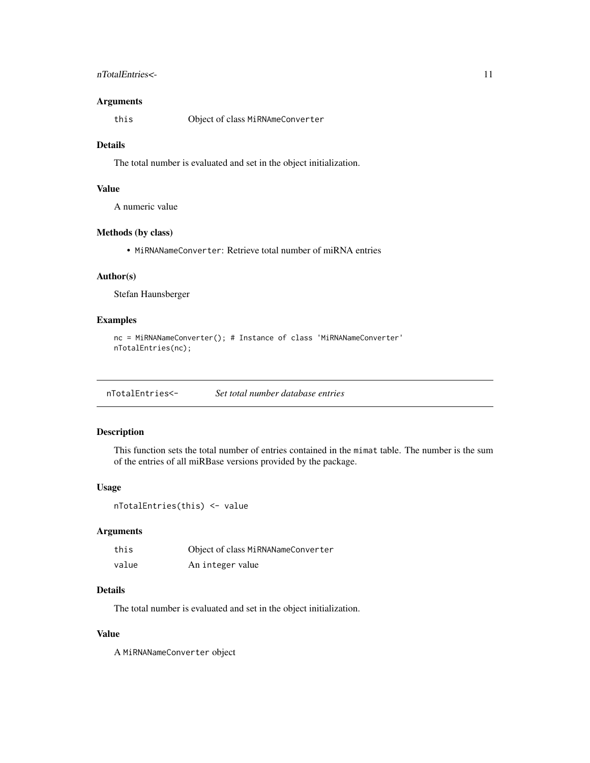#### <span id="page-10-0"></span>nTotalEntries<- 11

#### Arguments

this Object of class MiRNAmeConverter

#### Details

The total number is evaluated and set in the object initialization.

#### Value

A numeric value

#### Methods (by class)

• MiRNANameConverter: Retrieve total number of miRNA entries

#### Author(s)

Stefan Haunsberger

#### Examples

```
nc = MiRNANameConverter(); # Instance of class 'MiRNANameConverter'
nTotalEntries(nc);
```
nTotalEntries<- *Set total number database entries*

#### Description

This function sets the total number of entries contained in the mimat table. The number is the sum of the entries of all miRBase versions provided by the package.

#### Usage

```
nTotalEntries(this) <- value
```
#### Arguments

| this  | Object of class MiRNANameConverter |
|-------|------------------------------------|
| value | An integer value                   |

#### Details

The total number is evaluated and set in the object initialization.

#### Value

A MiRNANameConverter object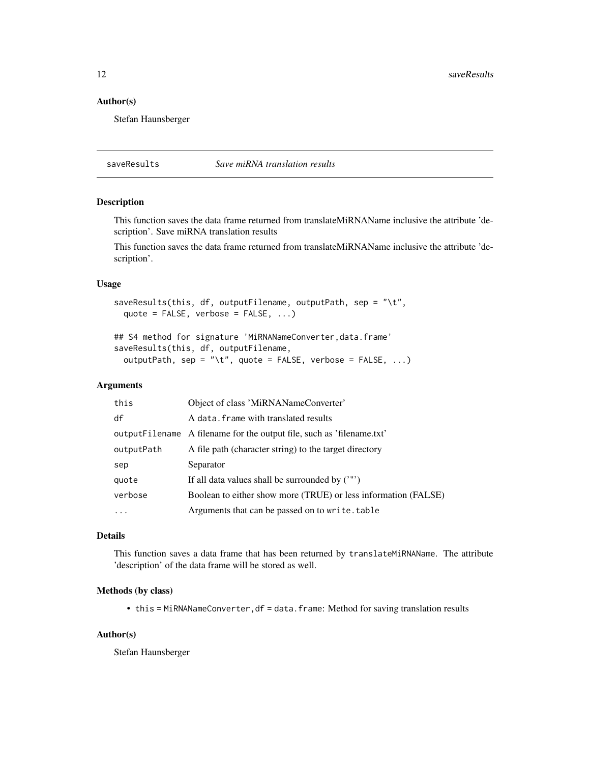<span id="page-11-0"></span>12 saveResults

#### Author(s)

Stefan Haunsberger

saveResults *Save miRNA translation results*

#### Description

This function saves the data frame returned from translateMiRNAName inclusive the attribute 'description'. Save miRNA translation results

This function saves the data frame returned from translateMiRNAName inclusive the attribute 'description'.

#### Usage

```
saveResults(this, df, outputFilename, outputPath, sep = "\tt",
  quote = FALSE, verbose = FALSE, ...)
```

```
## S4 method for signature 'MiRNANameConverter, data.frame'
saveResults(this, df, outputFilename,
  outputPath, sep = "\setminus t", quote = FALSE, verbose = FALSE, ...)
```
#### Arguments

| this       | Object of class 'MiRNANameConverter'                                   |
|------------|------------------------------------------------------------------------|
| df         | A data. frame with translated results                                  |
|            | output Filename A filename for the output file, such as 'filename.txt' |
| outputPath | A file path (character string) to the target directory                 |
| sep        | Separator                                                              |
| quote      | If all data values shall be surrounded by $('")$                       |
| verbose    | Boolean to either show more (TRUE) or less information (FALSE)         |
|            | Arguments that can be passed on to write.table                         |

#### Details

This function saves a data frame that has been returned by translateMiRNAName. The attribute 'description' of the data frame will be stored as well.

#### Methods (by class)

• this = MiRNANameConverter, df = data.frame: Method for saving translation results

#### Author(s)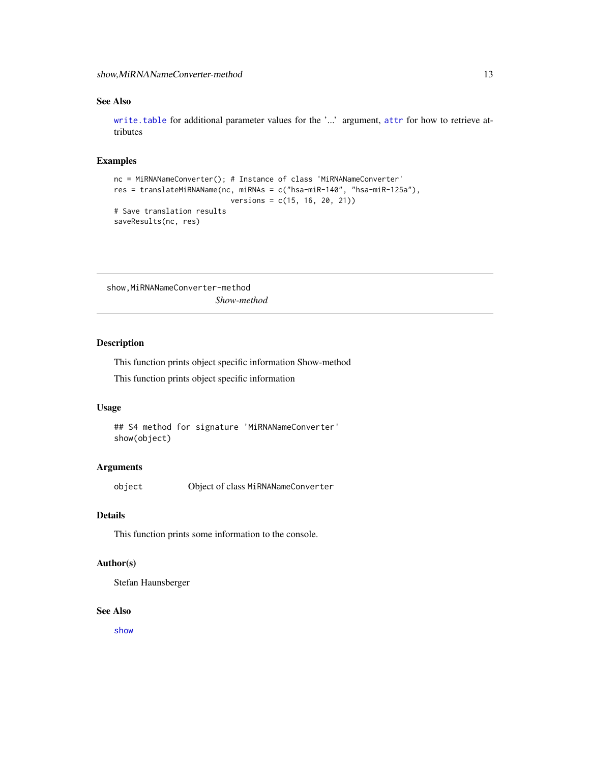#### <span id="page-12-0"></span>See Also

[write.table](#page-0-0) for additional parameter values for the '...' argument, [attr](#page-0-0) for how to retrieve attributes

#### Examples

```
nc = MiRNANameConverter(); # Instance of class 'MiRNANameConverter'
res = translateMiRNAName(nc, miRNAs = c("hsa-miR-140", "hsa-miR-125a"),
                           versions = c(15, 16, 20, 21))
# Save translation results
saveResults(nc, res)
```
show, MiRNANameConverter-method *Show-method*

#### Description

This function prints object specific information Show-method

This function prints object specific information

#### Usage

```
## S4 method for signature 'MiRNANameConverter'
show(object)
```
#### Arguments

object Object of class MiRNANameConverter

#### Details

This function prints some information to the console.

#### Author(s)

Stefan Haunsberger

#### See Also

[show](#page-0-0)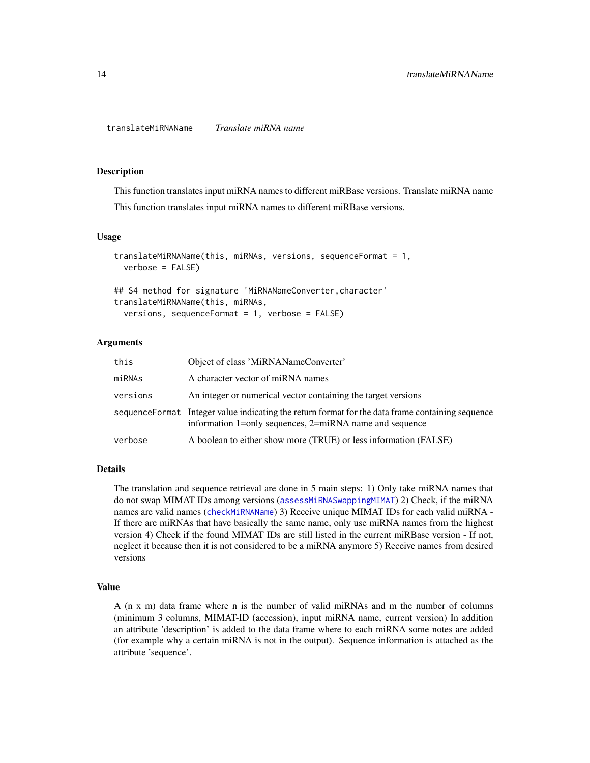#### <span id="page-13-1"></span><span id="page-13-0"></span>Description

This function translates input miRNA names to different miRBase versions. Translate miRNA name

This function translates input miRNA names to different miRBase versions.

#### Usage

```
translateMiRNAName(this, miRNAs, versions, sequenceFormat = 1,
  verbose = FALSE)
## S4 method for signature 'MiRNANameConverter, character'
```
translateMiRNAName(this, miRNAs, versions, sequenceFormat = 1, verbose = FALSE)

#### Arguments

| this     | Object of class 'MiRNANameConverter'                                                                                                                         |
|----------|--------------------------------------------------------------------------------------------------------------------------------------------------------------|
| miRNAs   | A character vector of miRNA names                                                                                                                            |
| versions | An integer or numerical vector containing the target versions                                                                                                |
|          | sequence Format Integer value indicating the return format for the data frame containing sequence<br>information 1=only sequences, 2=miRNA name and sequence |
| verbose  | A boolean to either show more (TRUE) or less information (FALSE)                                                                                             |

#### Details

The translation and sequence retrieval are done in 5 main steps: 1) Only take miRNA names that do not swap MIMAT IDs among versions ([assessMiRNASwappingMIMAT](#page-1-1)) 2) Check, if the miRNA names are valid names ([checkMiRNAName](#page-3-1)) 3) Receive unique MIMAT IDs for each valid miRNA -If there are miRNAs that have basically the same name, only use miRNA names from the highest version 4) Check if the found MIMAT IDs are still listed in the current miRBase version - If not, neglect it because then it is not considered to be a miRNA anymore 5) Receive names from desired versions

#### Value

A (n x m) data frame where n is the number of valid miRNAs and m the number of columns (minimum 3 columns, MIMAT-ID (accession), input miRNA name, current version) In addition an attribute 'description' is added to the data frame where to each miRNA some notes are added (for example why a certain miRNA is not in the output). Sequence information is attached as the attribute 'sequence'.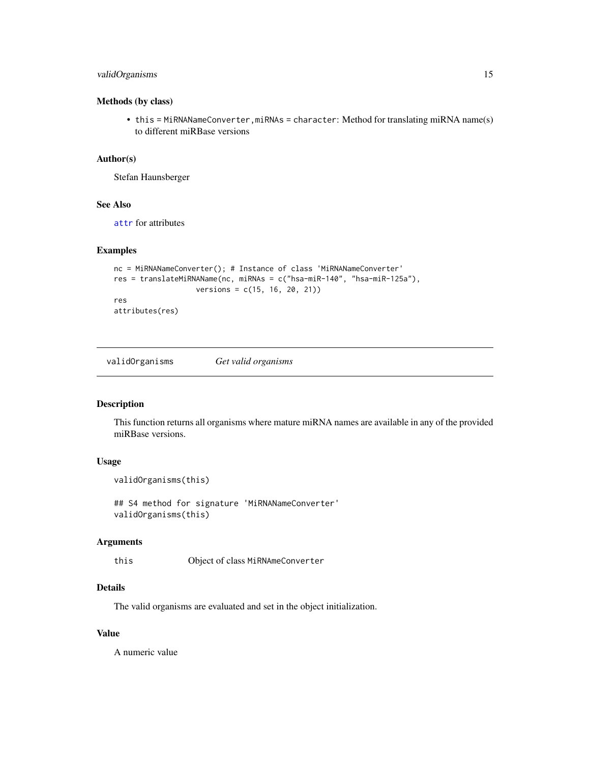#### <span id="page-14-0"></span>validOrganisms 15

#### Methods (by class)

• this = MiRNANameConverter, miRNAs = character: Method for translating miRNA name(s) to different miRBase versions

#### Author(s)

Stefan Haunsberger

#### See Also

[attr](#page-0-0) for attributes

#### Examples

```
nc = MiRNANameConverter(); # Instance of class 'MiRNANameConverter'
res = translateMiRNAName(nc, miRNAs = c("hsa-miR-140", "hsa-miR-125a"),
                  versions = c(15, 16, 20, 21))
res
```
attributes(res)

validOrganisms *Get valid organisms*

#### Description

This function returns all organisms where mature miRNA names are available in any of the provided miRBase versions.

#### Usage

```
validOrganisms(this)
```
## S4 method for signature 'MiRNANameConverter' validOrganisms(this)

#### Arguments

this Object of class MiRNAmeConverter

#### Details

The valid organisms are evaluated and set in the object initialization.

#### Value

A numeric value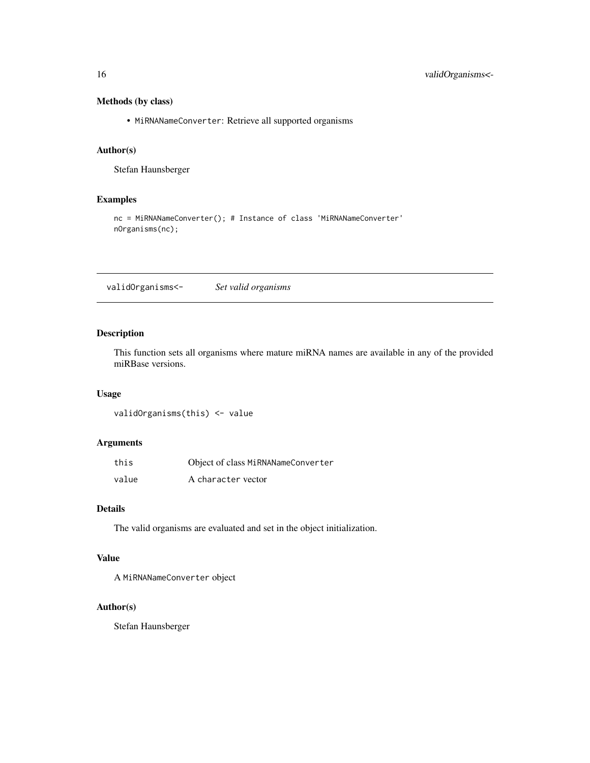#### <span id="page-15-0"></span>Methods (by class)

• MiRNANameConverter: Retrieve all supported organisms

#### Author(s)

Stefan Haunsberger

#### Examples

nc = MiRNANameConverter(); # Instance of class 'MiRNANameConverter' nOrganisms(nc);

validOrganisms<- *Set valid organisms*

#### Description

This function sets all organisms where mature miRNA names are available in any of the provided miRBase versions.

#### Usage

validOrganisms(this) <- value

#### Arguments

| this  | Object of class MiRNANameConverter |
|-------|------------------------------------|
| value | A character vector                 |

#### Details

The valid organisms are evaluated and set in the object initialization.

#### Value

A MiRNANameConverter object

#### Author(s)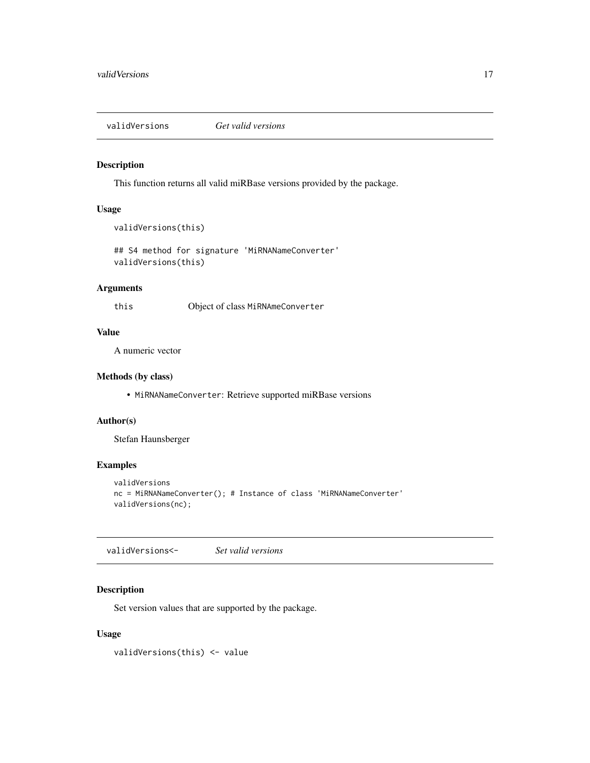<span id="page-16-0"></span>validVersions *Get valid versions*

#### Description

This function returns all valid miRBase versions provided by the package.

#### Usage

```
validVersions(this)
```

```
## S4 method for signature 'MiRNANameConverter'
validVersions(this)
```
#### Arguments

this Object of class MiRNAmeConverter

### Value

A numeric vector

#### Methods (by class)

• MiRNANameConverter: Retrieve supported miRBase versions

#### Author(s)

Stefan Haunsberger

#### Examples

```
validVersions
nc = MiRNANameConverter(); # Instance of class 'MiRNANameConverter'
validVersions(nc);
```
validVersions<- *Set valid versions*

#### Description

Set version values that are supported by the package.

#### Usage

validVersions(this) <- value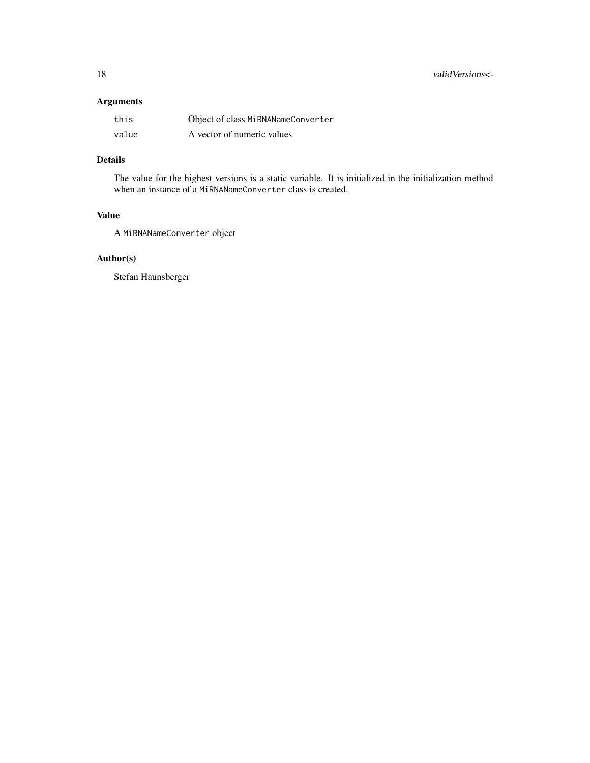#### Arguments

| this  | Object of class MiRNANameConverter |
|-------|------------------------------------|
| value | A vector of numeric values         |

### Details

The value for the highest versions is a static variable. It is initialized in the initialization method when an instance of a MiRNANameConverter class is created.

#### Value

A MiRNANameConverter object

#### Author(s)